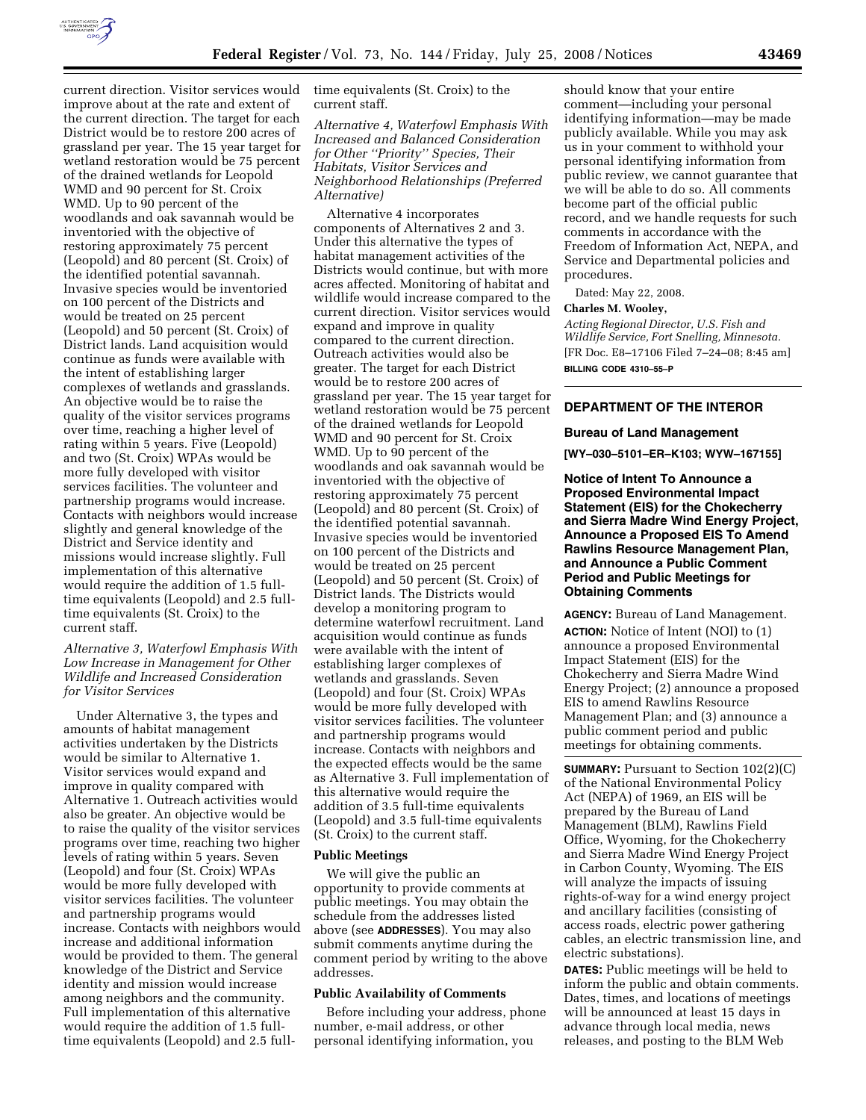

current direction. Visitor services would improve about at the rate and extent of the current direction. The target for each District would be to restore 200 acres of grassland per year. The 15 year target for wetland restoration would be 75 percent of the drained wetlands for Leopold WMD and 90 percent for St. Croix WMD. Up to 90 percent of the woodlands and oak savannah would be inventoried with the objective of restoring approximately 75 percent (Leopold) and 80 percent (St. Croix) of the identified potential savannah. Invasive species would be inventoried on 100 percent of the Districts and would be treated on 25 percent (Leopold) and 50 percent (St. Croix) of District lands. Land acquisition would continue as funds were available with the intent of establishing larger complexes of wetlands and grasslands. An objective would be to raise the quality of the visitor services programs over time, reaching a higher level of rating within 5 years. Five (Leopold) and two (St. Croix) WPAs would be more fully developed with visitor services facilities. The volunteer and partnership programs would increase. Contacts with neighbors would increase slightly and general knowledge of the District and Service identity and missions would increase slightly. Full implementation of this alternative would require the addition of 1.5 fulltime equivalents (Leopold) and 2.5 fulltime equivalents (St. Croix) to the current staff.

# *Alternative 3, Waterfowl Emphasis With Low Increase in Management for Other Wildlife and Increased Consideration for Visitor Services*

Under Alternative 3, the types and amounts of habitat management activities undertaken by the Districts would be similar to Alternative 1. Visitor services would expand and improve in quality compared with Alternative 1. Outreach activities would also be greater. An objective would be to raise the quality of the visitor services programs over time, reaching two higher levels of rating within 5 years. Seven (Leopold) and four (St. Croix) WPAs would be more fully developed with visitor services facilities. The volunteer and partnership programs would increase. Contacts with neighbors would increase and additional information would be provided to them. The general knowledge of the District and Service identity and mission would increase among neighbors and the community. Full implementation of this alternative would require the addition of 1.5 fulltime equivalents (Leopold) and 2.5 fulltime equivalents (St. Croix) to the current staff.

*Alternative 4, Waterfowl Emphasis With Increased and Balanced Consideration for Other ''Priority'' Species, Their Habitats, Visitor Services and Neighborhood Relationships (Preferred Alternative)* 

Alternative 4 incorporates components of Alternatives 2 and 3. Under this alternative the types of habitat management activities of the Districts would continue, but with more acres affected. Monitoring of habitat and wildlife would increase compared to the current direction. Visitor services would expand and improve in quality compared to the current direction. Outreach activities would also be greater. The target for each District would be to restore 200 acres of grassland per year. The 15 year target for wetland restoration would be 75 percent of the drained wetlands for Leopold WMD and 90 percent for St. Croix WMD. Up to 90 percent of the woodlands and oak savannah would be inventoried with the objective of restoring approximately 75 percent (Leopold) and 80 percent (St. Croix) of the identified potential savannah. Invasive species would be inventoried on 100 percent of the Districts and would be treated on 25 percent (Leopold) and 50 percent (St. Croix) of District lands. The Districts would develop a monitoring program to determine waterfowl recruitment. Land acquisition would continue as funds were available with the intent of establishing larger complexes of wetlands and grasslands. Seven (Leopold) and four (St. Croix) WPAs would be more fully developed with visitor services facilities. The volunteer and partnership programs would increase. Contacts with neighbors and the expected effects would be the same as Alternative 3. Full implementation of this alternative would require the addition of 3.5 full-time equivalents (Leopold) and 3.5 full-time equivalents (St. Croix) to the current staff.

# **Public Meetings**

We will give the public an opportunity to provide comments at public meetings. You may obtain the schedule from the addresses listed above (see **ADDRESSES**). You may also submit comments anytime during the comment period by writing to the above addresses.

# **Public Availability of Comments**

Before including your address, phone number, e-mail address, or other personal identifying information, you

should know that your entire comment—including your personal identifying information—may be made publicly available. While you may ask us in your comment to withhold your personal identifying information from public review, we cannot guarantee that we will be able to do so. All comments become part of the official public record, and we handle requests for such comments in accordance with the Freedom of Information Act, NEPA, and Service and Departmental policies and procedures.

Dated: May 22, 2008.

# **Charles M. Wooley,**

*Acting Regional Director, U.S. Fish and Wildlife Service, Fort Snelling, Minnesota.*  [FR Doc. E8–17106 Filed 7–24–08; 8:45 am] **BILLING CODE 4310–55–P** 

# **DEPARTMENT OF THE INTEROR**

#### **Bureau of Land Management**

**[WY–030–5101–ER–K103; WYW–167155]** 

**Notice of Intent To Announce a Proposed Environmental Impact Statement (EIS) for the Chokecherry and Sierra Madre Wind Energy Project, Announce a Proposed EIS To Amend Rawlins Resource Management Plan, and Announce a Public Comment Period and Public Meetings for Obtaining Comments** 

**AGENCY:** Bureau of Land Management. **ACTION:** Notice of Intent (NOI) to (1) announce a proposed Environmental Impact Statement (EIS) for the Chokecherry and Sierra Madre Wind Energy Project; (2) announce a proposed EIS to amend Rawlins Resource Management Plan; and (3) announce a public comment period and public meetings for obtaining comments.

**SUMMARY:** Pursuant to Section 102(2)(C) of the National Environmental Policy Act (NEPA) of 1969, an EIS will be prepared by the Bureau of Land Management (BLM), Rawlins Field Office, Wyoming, for the Chokecherry and Sierra Madre Wind Energy Project in Carbon County, Wyoming. The EIS will analyze the impacts of issuing rights-of-way for a wind energy project and ancillary facilities (consisting of access roads, electric power gathering cables, an electric transmission line, and electric substations).

**DATES:** Public meetings will be held to inform the public and obtain comments. Dates, times, and locations of meetings will be announced at least 15 days in advance through local media, news releases, and posting to the BLM Web